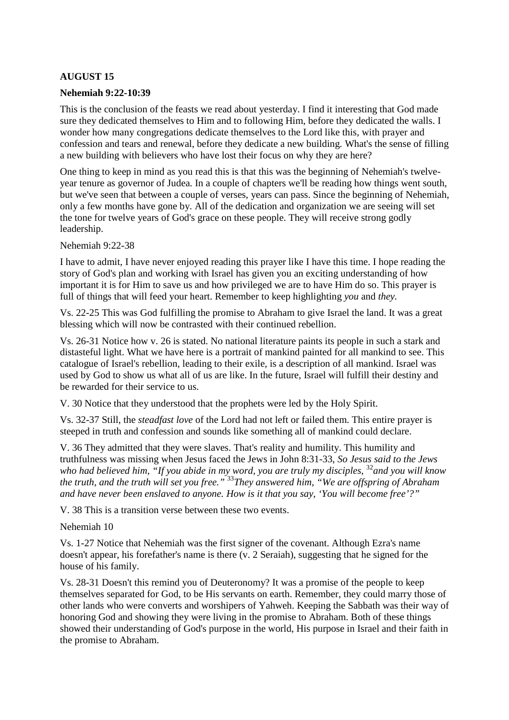# **AUGUST 15**

#### **Nehemiah 9:22-10:39**

This is the conclusion of the feasts we read about yesterday. I find it interesting that God made sure they dedicated themselves to Him and to following Him, before they dedicated the walls. I wonder how many congregations dedicate themselves to the Lord like this, with prayer and confession and tears and renewal, before they dedicate a new building. What's the sense of filling a new building with believers who have lost their focus on why they are here?

One thing to keep in mind as you read this is that this was the beginning of Nehemiah's twelveyear tenure as governor of Judea. In a couple of chapters we'll be reading how things went south, but we've seen that between a couple of verses, years can pass. Since the beginning of Nehemiah, only a few months have gone by. All of the dedication and organization we are seeing will set the tone for twelve years of God's grace on these people. They will receive strong godly leadership.

Nehemiah 9:22-38

I have to admit, I have never enjoyed reading this prayer like I have this time. I hope reading the story of God's plan and working with Israel has given you an exciting understanding of how important it is for Him to save us and how privileged we are to have Him do so. This prayer is full of things that will feed your heart. Remember to keep highlighting *you* and *they.*

Vs. 22-25 This was God fulfilling the promise to Abraham to give Israel the land. It was a great blessing which will now be contrasted with their continued rebellion.

Vs. 26-31 Notice how v. 26 is stated. No national literature paints its people in such a stark and distasteful light. What we have here is a portrait of mankind painted for all mankind to see. This catalogue of Israel's rebellion, leading to their exile, is a description of all mankind. Israel was used by God to show us what all of us are like. In the future, Israel will fulfill their destiny and be rewarded for their service to us.

V. 30 Notice that they understood that the prophets were led by the Holy Spirit.

Vs. 32-37 Still, the *steadfast love* of the Lord had not left or failed them. This entire prayer is steeped in truth and confession and sounds like something all of mankind could declare.

V. 36 They admitted that they were slaves. That's reality and humility. This humility and truthfulness was missing when Jesus faced the Jews in John 8:31-33, *So Jesus said to the Jews who had believed him, "If you abide in my word, you are truly my disciples,*  $32$  *and you will know the truth, and the truth will set you free."* <sup>33</sup>*They answered him, "We are offspring of Abraham and have never been enslaved to anyone. How is it that you say, 'You will become free'?"* 

V. 38 This is a transition verse between these two events.

Nehemiah 10

Vs. 1-27 Notice that Nehemiah was the first signer of the covenant. Although Ezra's name doesn't appear, his forefather's name is there (v. 2 Seraiah), suggesting that he signed for the house of his family.

Vs. 28-31 Doesn't this remind you of Deuteronomy? It was a promise of the people to keep themselves separated for God, to be His servants on earth. Remember, they could marry those of other lands who were converts and worshipers of Yahweh. Keeping the Sabbath was their way of honoring God and showing they were living in the promise to Abraham. Both of these things showed their understanding of God's purpose in the world, His purpose in Israel and their faith in the promise to Abraham.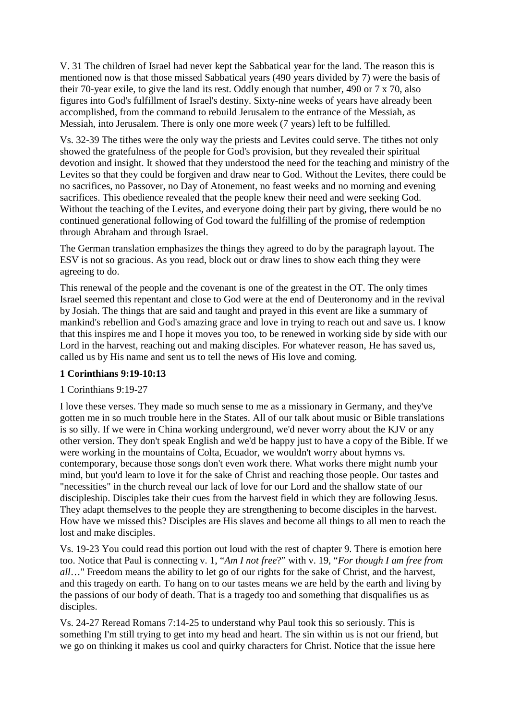V. 31 The children of Israel had never kept the Sabbatical year for the land. The reason this is mentioned now is that those missed Sabbatical years (490 years divided by 7) were the basis of their 70-year exile, to give the land its rest. Oddly enough that number, 490 or 7 x 70, also figures into God's fulfillment of Israel's destiny. Sixty-nine weeks of years have already been accomplished, from the command to rebuild Jerusalem to the entrance of the Messiah, as Messiah, into Jerusalem. There is only one more week (7 years) left to be fulfilled.

Vs. 32-39 The tithes were the only way the priests and Levites could serve. The tithes not only showed the gratefulness of the people for God's provision, but they revealed their spiritual devotion and insight. It showed that they understood the need for the teaching and ministry of the Levites so that they could be forgiven and draw near to God. Without the Levites, there could be no sacrifices, no Passover, no Day of Atonement, no feast weeks and no morning and evening sacrifices. This obedience revealed that the people knew their need and were seeking God. Without the teaching of the Levites, and everyone doing their part by giving, there would be no continued generational following of God toward the fulfilling of the promise of redemption through Abraham and through Israel.

The German translation emphasizes the things they agreed to do by the paragraph layout. The ESV is not so gracious. As you read, block out or draw lines to show each thing they were agreeing to do.

This renewal of the people and the covenant is one of the greatest in the OT. The only times Israel seemed this repentant and close to God were at the end of Deuteronomy and in the revival by Josiah. The things that are said and taught and prayed in this event are like a summary of mankind's rebellion and God's amazing grace and love in trying to reach out and save us. I know that this inspires me and I hope it moves you too, to be renewed in working side by side with our Lord in the harvest, reaching out and making disciples. For whatever reason, He has saved us, called us by His name and sent us to tell the news of His love and coming.

### **1 Corinthians 9:19-10:13**

# 1 Corinthians 9:19-27

I love these verses. They made so much sense to me as a missionary in Germany, and they've gotten me in so much trouble here in the States. All of our talk about music or Bible translations is so silly. If we were in China working underground, we'd never worry about the KJV or any other version. They don't speak English and we'd be happy just to have a copy of the Bible. If we were working in the mountains of Colta, Ecuador, we wouldn't worry about hymns vs. contemporary, because those songs don't even work there. What works there might numb your mind, but you'd learn to love it for the sake of Christ and reaching those people. Our tastes and "necessities" in the church reveal our lack of love for our Lord and the shallow state of our discipleship. Disciples take their cues from the harvest field in which they are following Jesus. They adapt themselves to the people they are strengthening to become disciples in the harvest. How have we missed this? Disciples are His slaves and become all things to all men to reach the lost and make disciples.

Vs. 19-23 You could read this portion out loud with the rest of chapter 9. There is emotion here too. Notice that Paul is connecting v. 1, "*Am I not free*?" with v. 19, "*For though I am free from all*…" Freedom means the ability to let go of our rights for the sake of Christ, and the harvest, and this tragedy on earth. To hang on to our tastes means we are held by the earth and living by the passions of our body of death. That is a tragedy too and something that disqualifies us as disciples.

Vs. 24-27 Reread Romans 7:14-25 to understand why Paul took this so seriously. This is something I'm still trying to get into my head and heart. The sin within us is not our friend, but we go on thinking it makes us cool and quirky characters for Christ. Notice that the issue here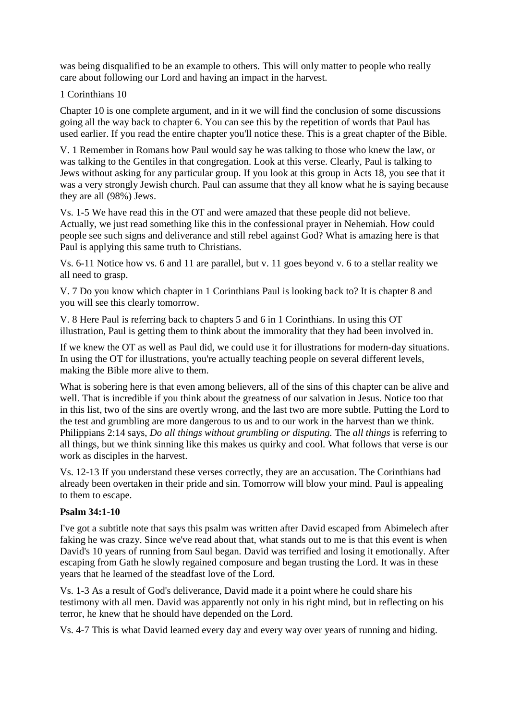was being disqualified to be an example to others. This will only matter to people who really care about following our Lord and having an impact in the harvest.

#### 1 Corinthians 10

Chapter 10 is one complete argument, and in it we will find the conclusion of some discussions going all the way back to chapter 6. You can see this by the repetition of words that Paul has used earlier. If you read the entire chapter you'll notice these. This is a great chapter of the Bible.

V. 1 Remember in Romans how Paul would say he was talking to those who knew the law, or was talking to the Gentiles in that congregation. Look at this verse. Clearly, Paul is talking to Jews without asking for any particular group. If you look at this group in Acts 18, you see that it was a very strongly Jewish church. Paul can assume that they all know what he is saying because they are all (98%) Jews.

Vs. 1-5 We have read this in the OT and were amazed that these people did not believe. Actually, we just read something like this in the confessional prayer in Nehemiah. How could people see such signs and deliverance and still rebel against God? What is amazing here is that Paul is applying this same truth to Christians.

Vs. 6-11 Notice how vs. 6 and 11 are parallel, but v. 11 goes beyond v. 6 to a stellar reality we all need to grasp.

V. 7 Do you know which chapter in 1 Corinthians Paul is looking back to? It is chapter 8 and you will see this clearly tomorrow.

V. 8 Here Paul is referring back to chapters 5 and 6 in 1 Corinthians. In using this OT illustration, Paul is getting them to think about the immorality that they had been involved in.

If we knew the OT as well as Paul did, we could use it for illustrations for modern-day situations. In using the OT for illustrations, you're actually teaching people on several different levels, making the Bible more alive to them.

What is sobering here is that even among believers, all of the sins of this chapter can be alive and well. That is incredible if you think about the greatness of our salvation in Jesus. Notice too that in this list, two of the sins are overtly wrong, and the last two are more subtle. Putting the Lord to the test and grumbling are more dangerous to us and to our work in the harvest than we think. Philippians 2:14 says, *Do all things without grumbling or disputing.* The *all things* is referring to all things, but we think sinning like this makes us quirky and cool. What follows that verse is our work as disciples in the harvest.

Vs. 12-13 If you understand these verses correctly, they are an accusation. The Corinthians had already been overtaken in their pride and sin. Tomorrow will blow your mind. Paul is appealing to them to escape.

### **Psalm 34:1-10**

I've got a subtitle note that says this psalm was written after David escaped from Abimelech after faking he was crazy. Since we've read about that, what stands out to me is that this event is when David's 10 years of running from Saul began. David was terrified and losing it emotionally. After escaping from Gath he slowly regained composure and began trusting the Lord. It was in these years that he learned of the steadfast love of the Lord.

Vs. 1-3 As a result of God's deliverance, David made it a point where he could share his testimony with all men. David was apparently not only in his right mind, but in reflecting on his terror, he knew that he should have depended on the Lord.

Vs. 4-7 This is what David learned every day and every way over years of running and hiding.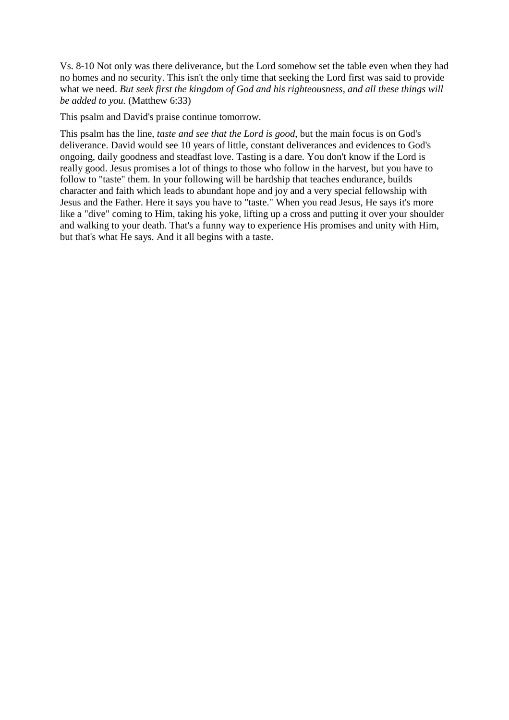Vs. 8-10 Not only was there deliverance, but the Lord somehow set the table even when they had no homes and no security. This isn't the only time that seeking the Lord first was said to provide what we need. *But seek first the kingdom of God and his righteousness, and all these things will be added to you.* (Matthew 6:33)

This psalm and David's praise continue tomorrow.

This psalm has the line, *taste and see that the Lord is good*, but the main focus is on God's deliverance. David would see 10 years of little, constant deliverances and evidences to God's ongoing, daily goodness and steadfast love. Tasting is a dare. You don't know if the Lord is really good. Jesus promises a lot of things to those who follow in the harvest, but you have to follow to "taste" them. In your following will be hardship that teaches endurance, builds character and faith which leads to abundant hope and joy and a very special fellowship with Jesus and the Father. Here it says you have to "taste." When you read Jesus, He says it's more like a "dive" coming to Him, taking his yoke, lifting up a cross and putting it over your shoulder and walking to your death. That's a funny way to experience His promises and unity with Him, but that's what He says. And it all begins with a taste.